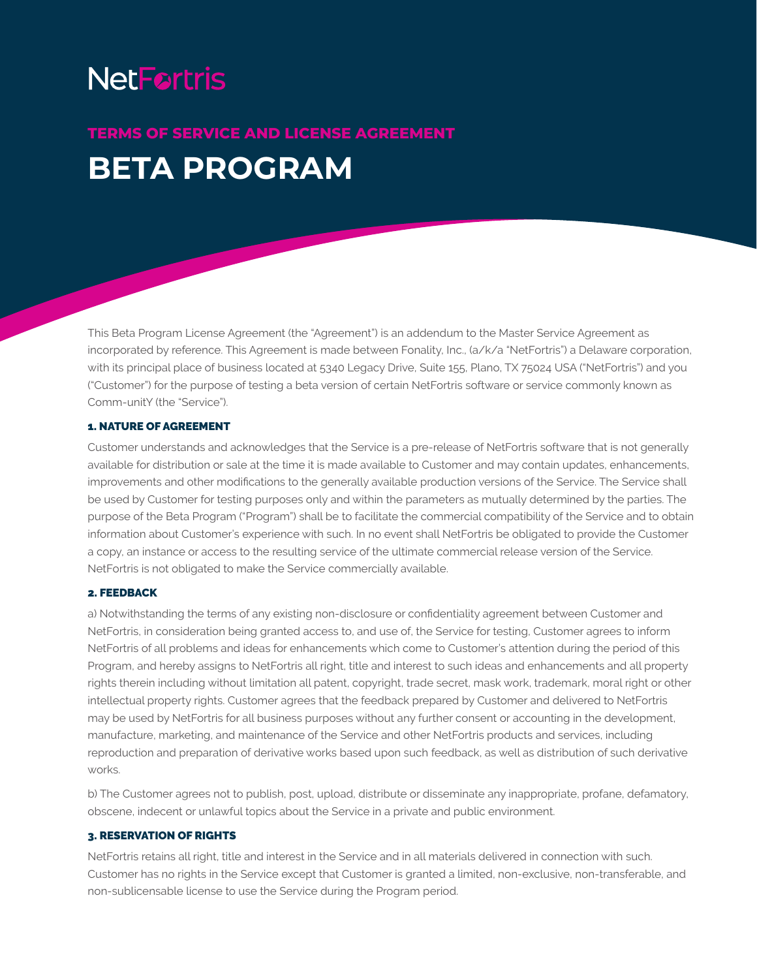# **NetFortris**

# **BETA PROGRAM TERMS OF SERVICE AND LICENSE AGREEMENT**

This Beta Program License Agreement (the "Agreement") is an addendum to the Master Service Agreement as incorporated by reference. This Agreement is made between Fonality, Inc., (a/k/a "NetFortris") a Delaware corporation, with its principal place of business located at 5340 Legacy Drive, Suite 155, Plano, TX 75024 USA ("NetFortris") and you ("Customer") for the purpose of testing a beta version of certain NetFortris software or service commonly known as Comm-unitY (the "Service").

#### 1. NATURE OF AGREEMENT

Customer understands and acknowledges that the Service is a pre-release of NetFortris software that is not generally available for distribution or sale at the time it is made available to Customer and may contain updates, enhancements, improvements and other modifications to the generally available production versions of the Service. The Service shall be used by Customer for testing purposes only and within the parameters as mutually determined by the parties. The purpose of the Beta Program ("Program") shall be to facilitate the commercial compatibility of the Service and to obtain information about Customer's experience with such. In no event shall NetFortris be obligated to provide the Customer a copy, an instance or access to the resulting service of the ultimate commercial release version of the Service. NetFortris is not obligated to make the Service commercially available.

### 2. FEEDBACK

a) Notwithstanding the terms of any existing non-disclosure or confidentiality agreement between Customer and NetFortris, in consideration being granted access to, and use of, the Service for testing, Customer agrees to inform NetFortris of all problems and ideas for enhancements which come to Customer's attention during the period of this Program, and hereby assigns to NetFortris all right, title and interest to such ideas and enhancements and all property rights therein including without limitation all patent, copyright, trade secret, mask work, trademark, moral right or other intellectual property rights. Customer agrees that the feedback prepared by Customer and delivered to NetFortris may be used by NetFortris for all business purposes without any further consent or accounting in the development, manufacture, marketing, and maintenance of the Service and other NetFortris products and services, including reproduction and preparation of derivative works based upon such feedback, as well as distribution of such derivative works.

b) The Customer agrees not to publish, post, upload, distribute or disseminate any inappropriate, profane, defamatory, obscene, indecent or unlawful topics about the Service in a private and public environment.

## 3. RESERVATION OF RIGHTS

NetFortris retains all right, title and interest in the Service and in all materials delivered in connection with such. Customer has no rights in the Service except that Customer is granted a limited, non-exclusive, non-transferable, and non-sublicensable license to use the Service during the Program period.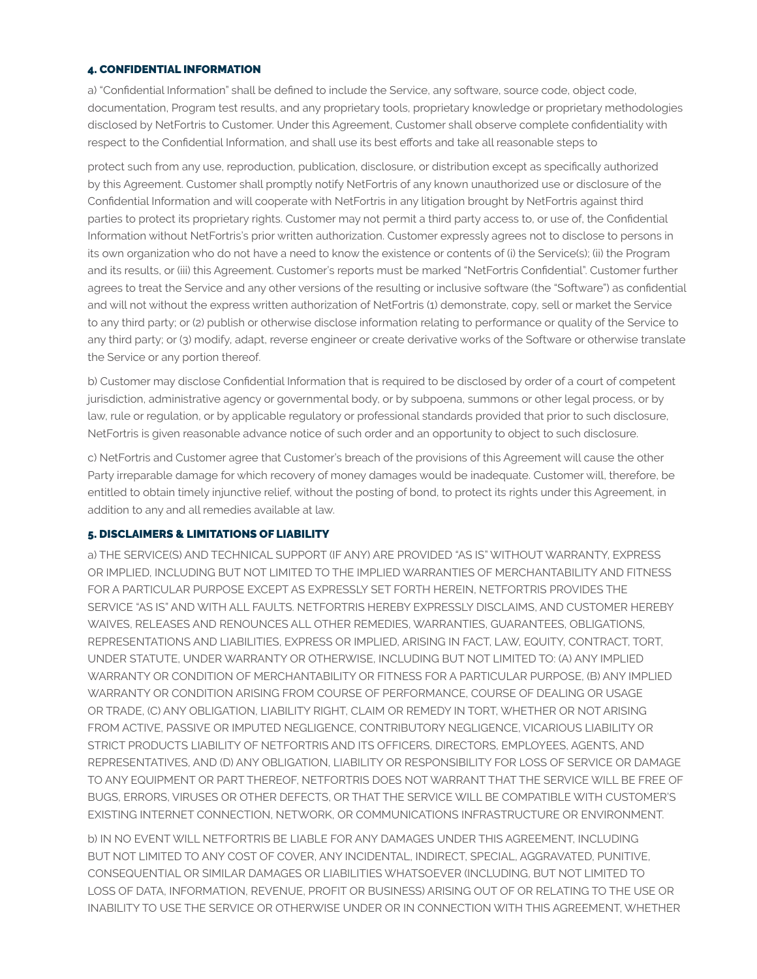#### 4. CONFIDENTIAL INFORMATION

a) "Confidential Information" shall be defined to include the Service, any software, source code, object code, documentation, Program test results, and any proprietary tools, proprietary knowledge or proprietary methodologies disclosed by NetFortris to Customer. Under this Agreement, Customer shall observe complete confidentiality with respect to the Confidential Information, and shall use its best efforts and take all reasonable steps to

protect such from any use, reproduction, publication, disclosure, or distribution except as specifically authorized by this Agreement. Customer shall promptly notify NetFortris of any known unauthorized use or disclosure of the Confidential Information and will cooperate with NetFortris in any litigation brought by NetFortris against third parties to protect its proprietary rights. Customer may not permit a third party access to, or use of, the Confidential Information without NetFortris's prior written authorization. Customer expressly agrees not to disclose to persons in its own organization who do not have a need to know the existence or contents of (i) the Service(s); (ii) the Program and its results, or (iii) this Agreement. Customer's reports must be marked "NetFortris Confidential". Customer further agrees to treat the Service and any other versions of the resulting or inclusive software (the "Software") as confidential and will not without the express written authorization of NetFortris (1) demonstrate, copy, sell or market the Service to any third party; or (2) publish or otherwise disclose information relating to performance or quality of the Service to any third party; or (3) modify, adapt, reverse engineer or create derivative works of the Software or otherwise translate the Service or any portion thereof.

b) Customer may disclose Confidential Information that is required to be disclosed by order of a court of competent jurisdiction, administrative agency or governmental body, or by subpoena, summons or other legal process, or by law, rule or regulation, or by applicable regulatory or professional standards provided that prior to such disclosure, NetFortris is given reasonable advance notice of such order and an opportunity to object to such disclosure.

c) NetFortris and Customer agree that Customer's breach of the provisions of this Agreement will cause the other Party irreparable damage for which recovery of money damages would be inadequate. Customer will, therefore, be entitled to obtain timely injunctive relief, without the posting of bond, to protect its rights under this Agreement, in addition to any and all remedies available at law.

### 5. DISCLAIMERS & LIMITATIONS OF LIABILITY

a) THE SERVICE(S) AND TECHNICAL SUPPORT (IF ANY) ARE PROVIDED "AS IS" WITHOUT WARRANTY, EXPRESS OR IMPLIED, INCLUDING BUT NOT LIMITED TO THE IMPLIED WARRANTIES OF MERCHANTABILITY AND FITNESS FOR A PARTICULAR PURPOSE EXCEPT AS EXPRESSLY SET FORTH HEREIN, NETFORTRIS PROVIDES THE SERVICE "AS IS" AND WITH ALL FAULTS. NETFORTRIS HEREBY EXPRESSLY DISCLAIMS, AND CUSTOMER HEREBY WAIVES, RELEASES AND RENOUNCES ALL OTHER REMEDIES, WARRANTIES, GUARANTEES, OBLIGATIONS, REPRESENTATIONS AND LIABILITIES, EXPRESS OR IMPLIED, ARISING IN FACT, LAW, EQUITY, CONTRACT, TORT, UNDER STATUTE, UNDER WARRANTY OR OTHERWISE, INCLUDING BUT NOT LIMITED TO: (A) ANY IMPLIED WARRANTY OR CONDITION OF MERCHANTABILITY OR FITNESS FOR A PARTICULAR PURPOSE. (B) ANY IMPLIED WARRANTY OR CONDITION ARISING FROM COURSE OF PERFORMANCE, COURSE OF DEALING OR USAGE OR TRADE, (C) ANY OBLIGATION, LIABILITY RIGHT, CLAIM OR REMEDY IN TORT, WHETHER OR NOT ARISING FROM ACTIVE, PASSIVE OR IMPUTED NEGLIGENCE, CONTRIBUTORY NEGLIGENCE, VICARIOUS LIABILITY OR STRICT PRODUCTS LIABILITY OF NETFORTRIS AND ITS OFFICERS, DIRECTORS, EMPLOYEES, AGENTS, AND REPRESENTATIVES, AND (D) ANY OBLIGATION, LIABILITY OR RESPONSIBILITY FOR LOSS OF SERVICE OR DAMAGE TO ANY EQUIPMENT OR PART THEREOF, NETFORTRIS DOES NOT WARRANT THAT THE SERVICE WILL BE FREE OF BUGS, ERRORS, VIRUSES OR OTHER DEFECTS, OR THAT THE SERVICE WILL BE COMPATIBLE WITH CUSTOMER'S EXISTING INTERNET CONNECTION, NETWORK, OR COMMUNICATIONS INFRASTRUCTURE OR ENVIRONMENT.

b) IN NO EVENT WILL NETFORTRIS BE LIABLE FOR ANY DAMAGES UNDER THIS AGREEMENT, INCLUDING BUT NOT LIMITED TO ANY COST OF COVER, ANY INCIDENTAL, INDIRECT, SPECIAL, AGGRAVATED, PUNITIVE, CONSEQUENTIAL OR SIMILAR DAMAGES OR LIABILITIES WHATSOEVER (INCLUDING, BUT NOT LIMITED TO LOSS OF DATA, INFORMATION, REVENUE, PROFIT OR BUSINESS) ARISING OUT OF OR RELATING TO THE USE OR INABILITY TO USE THE SERVICE OR OTHERWISE UNDER OR IN CONNECTION WITH THIS AGREEMENT, WHETHER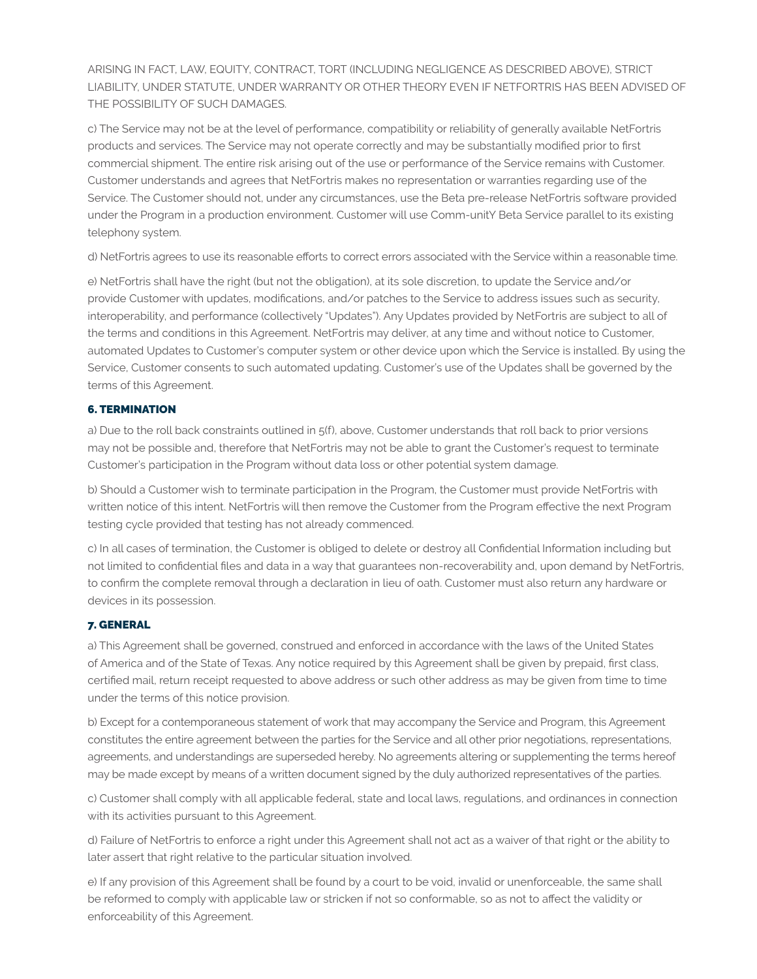ARISING IN FACT, LAW, EQUITY, CONTRACT, TORT (INCLUDING NEGLIGENCE AS DESCRIBED ABOVE), STRICT LIABILITY, UNDER STATUTE, UNDER WARRANTY OR OTHER THEORY EVEN IF NETFORTRIS HAS BEEN ADVISED OF THE POSSIBILITY OF SUCH DAMAGES.

c) The Service may not be at the level of performance, compatibility or reliability of generally available NetFortris products and services. The Service may not operate correctly and may be substantially modified prior to first commercial shipment. The entire risk arising out of the use or performance of the Service remains with Customer. Customer understands and agrees that NetFortris makes no representation or warranties regarding use of the Service. The Customer should not, under any circumstances, use the Beta pre-release NetFortris software provided under the Program in a production environment. Customer will use Comm-unitY Beta Service parallel to its existing telephony system.

d) NetFortris agrees to use its reasonable efforts to correct errors associated with the Service within a reasonable time.

e) NetFortris shall have the right (but not the obligation), at its sole discretion, to update the Service and/or provide Customer with updates, modifications, and/or patches to the Service to address issues such as security, interoperability, and performance (collectively "Updates"). Any Updates provided by NetFortris are subject to all of the terms and conditions in this Agreement. NetFortris may deliver, at any time and without notice to Customer, automated Updates to Customer's computer system or other device upon which the Service is installed. By using the Service, Customer consents to such automated updating. Customer's use of the Updates shall be governed by the terms of this Agreement.

# 6. TERMINATION

a) Due to the roll back constraints outlined in 5(f), above, Customer understands that roll back to prior versions may not be possible and, therefore that NetFortris may not be able to grant the Customer's request to terminate Customer's participation in the Program without data loss or other potential system damage.

b) Should a Customer wish to terminate participation in the Program, the Customer must provide NetFortris with written notice of this intent. NetFortris will then remove the Customer from the Program effective the next Program testing cycle provided that testing has not already commenced.

c) In all cases of termination, the Customer is obliged to delete or destroy all Confidential Information including but not limited to confidential files and data in a way that guarantees non-recoverability and, upon demand by NetFortris, to confirm the complete removal through a declaration in lieu of oath. Customer must also return any hardware or devices in its possession.

# 7. GENERAL

a) This Agreement shall be governed, construed and enforced in accordance with the laws of the United States of America and of the State of Texas. Any notice required by this Agreement shall be given by prepaid, first class, certified mail, return receipt requested to above address or such other address as may be given from time to time under the terms of this notice provision.

b) Except for a contemporaneous statement of work that may accompany the Service and Program, this Agreement constitutes the entire agreement between the parties for the Service and all other prior negotiations, representations, agreements, and understandings are superseded hereby. No agreements altering or supplementing the terms hereof may be made except by means of a written document signed by the duly authorized representatives of the parties.

c) Customer shall comply with all applicable federal, state and local laws, regulations, and ordinances in connection with its activities pursuant to this Agreement.

d) Failure of NetFortris to enforce a right under this Agreement shall not act as a waiver of that right or the ability to later assert that right relative to the particular situation involved.

e) If any provision of this Agreement shall be found by a court to be void, invalid or unenforceable, the same shall be reformed to comply with applicable law or stricken if not so conformable, so as not to affect the validity or enforceability of this Agreement.